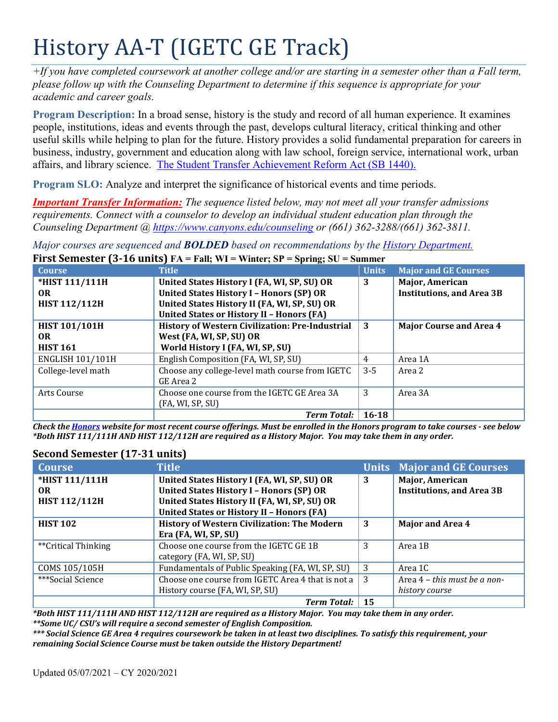# History AA-T (IGETC GE Track)

*+If you have completed coursework at another college and/or are starting in a semester other than a Fall term, please follow up with the Counseling Department to determine if this sequence is appropriate for your academic and career goals.* 

 **Program Description:** In a broad sense, history is the study and record of all human experience. It examines affairs, and library science. The Student Transfer Achievement Reform Act (SB 1440). people, institutions, ideas and events through the past, develops cultural literacy, critical thinking and other useful skills while helping to plan for the future. History provides a solid fundamental preparation for careers in business, industry, government and education along with law school, foreign service, international work, urban

**Program SLO:** Analyze and interpret the significance of historical events and time periods.

*Important Transfer Information: The sequence listed below, may not meet all your transfer admissions requirements. Connect with a counselor to develop an individual student education plan through the Counseling Department @ <https://www.canyons.edu/counseling> or (661) 362-3288/(661) 362-3811.* 

*Major courses are sequenced and BOLDED based on recommendations by the History Department.*  **First Semester (3-16 units) FA = Fall; WI = Winter; SP = Spring; SU = Summer** 

| <b>Course</b>           | <b>Title</b>                                           | <b>Units</b> | <b>Major and GE Courses</b>      |
|-------------------------|--------------------------------------------------------|--------------|----------------------------------|
| *HIST 111/111H          | United States History I (FA, WI, SP, SU) OR            | 3            | Major, American                  |
| <b>OR</b>               | <b>United States History I - Honors (SP) OR</b>        |              | <b>Institutions, and Area 3B</b> |
| <b>HIST 112/112H</b>    | United States History II (FA, WI, SP, SU) OR           |              |                                  |
|                         | <b>United States or History II - Honors (FA)</b>       |              |                                  |
| <b>HIST 101/101H</b>    | <b>History of Western Civilization: Pre-Industrial</b> | -3           | <b>Major Course and Area 4</b>   |
| <b>OR</b>               | West (FA, WI, SP, SU) OR                               |              |                                  |
| <b>HIST 161</b>         | World History I (FA, WI, SP, SU)                       |              |                                  |
| <b>ENGLISH 101/101H</b> | English Composition (FA, WI, SP, SU)                   | 4            | Area 1A                          |
| College-level math      | Choose any college-level math course from IGETC        | $3 - 5$      | Area 2                           |
|                         | GE Area 2                                              |              |                                  |
| Arts Course             | Choose one course from the IGETC GE Area 3A            | 3            | Area 3A                          |
|                         | (FA, WI, SP, SU)                                       |              |                                  |
|                         | <b>Term Total:</b>                                     | $16 - 18$    |                                  |

 *Check the Honors website for most recent course offerings. Must be enrolled in the Honors program to take courses - see below \*Both HIST 111/111H AND HIST 112/112H are required as a History Major. You may take them in any order.* 

# **Second Semester (17-31 units)**

| <b>Course</b>        | <b>Title</b>                                       |    | <b>Units Major and GE Courses</b> |
|----------------------|----------------------------------------------------|----|-----------------------------------|
| *HIST 111/111H       | United States History I (FA, WI, SP, SU) OR        | 3  | Major, American                   |
| OR.                  | <b>United States History I - Honors (SP) OR</b>    |    | <b>Institutions, and Area 3B</b>  |
| <b>HIST 112/112H</b> | United States History II (FA, WI, SP, SU) OR       |    |                                   |
|                      | <b>United States or History II - Honors (FA)</b>   |    |                                   |
| <b>HIST 102</b>      | <b>History of Western Civilization: The Modern</b> | 3  | <b>Major and Area 4</b>           |
|                      | Era (FA, WI, SP, SU)                               |    |                                   |
| **Critical Thinking  | Choose one course from the IGETC GE 1B             | 3  | Area 1B                           |
|                      | category (FA, WI, SP, SU)                          |    |                                   |
| COMS 105/105H        | Fundamentals of Public Speaking (FA, WI, SP, SU)   | -3 | Area 1C                           |
| ***Social Science    | Choose one course from IGETC Area 4 that is not a  | -3 | Area 4 – this must be a non-      |
|                      | History course (FA, WI, SP, SU)                    |    | history course                    |
|                      | <b>Term Total:</b>                                 | 15 |                                   |

 *\*\*Some UC/ CSU's will require a second semester of English Composition. \*Both HIST 111/111H AND HIST 112/112H are required as a History Major. You may take them in any order.* 

*\*\*\* Social Science GE Area 4 requires coursework be taken in at least two disciplines. To satisfy this requirement, your remaining Social Science Course must be taken outside the History Department!*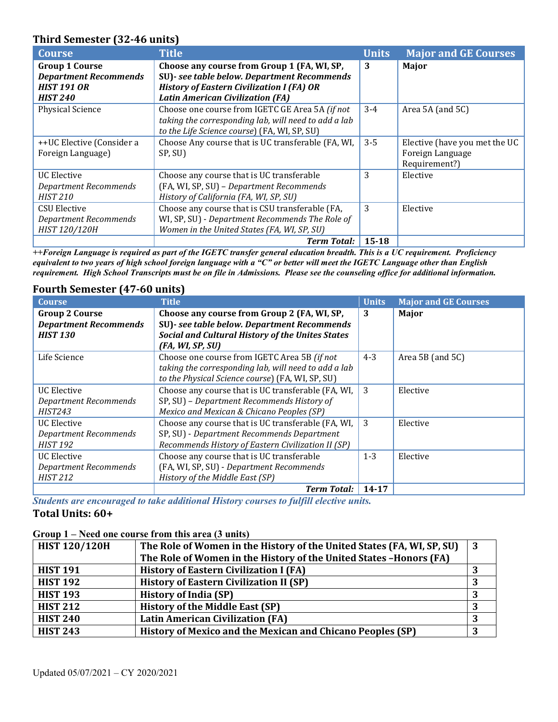## **Third Semester (32-46 units)**

| <b>Course</b>                | <b>Title</b>                                         | <b>Units</b> | <b>Major and GE Courses</b>   |
|------------------------------|------------------------------------------------------|--------------|-------------------------------|
| <b>Group 1 Course</b>        | Choose any course from Group 1 (FA, WI, SP,          | 3            | <b>Major</b>                  |
| <b>Department Recommends</b> | SU)- see table below. Department Recommends          |              |                               |
| <b>HIST 191 OR</b>           | <b>History of Eastern Civilization I (FA) OR</b>     |              |                               |
| <b>HIST 240</b>              | <b>Latin American Civilization (FA)</b>              |              |                               |
| <b>Physical Science</b>      | Choose one course from IGETC GE Area 5A (if not      | $3-4$        | Area 5A (and 5C)              |
|                              | taking the corresponding lab, will need to add a lab |              |                               |
|                              | to the Life Science course) (FA, WI, SP, SU)         |              |                               |
| ++UC Elective (Consider a    | Choose Any course that is UC transferable (FA, WI,   | $3 - 5$      | Elective (have you met the UC |
| Foreign Language)            | SP, SU)                                              |              | Foreign Language              |
|                              |                                                      |              | Requirement?)                 |
| <b>UC</b> Elective           | Choose any course that is UC transferable            | 3            | Elective                      |
| Department Recommends        | (FA, WI, SP, SU) - Department Recommends             |              |                               |
| <b>HIST 210</b>              | History of California (FA, WI, SP, SU)               |              |                               |
| CSU Elective                 | Choose any course that is CSU transferable (FA,      | 3            | Elective                      |
| <b>Department Recommends</b> | WI, SP, SU) - Department Recommends The Role of      |              |                               |
| HIST 120/120H                | Women in the United States (FA, WI, SP, SU)          |              |                               |
|                              | <b>Term Total:</b>                                   | $15 - 18$    |                               |

 *requirement. High School Transcripts must be on file in Admissions. Please see the counseling office for additional information. ++Foreign Language is required as part of the IGETC transfer general education breadth. This is a UC requirement. Proficiency equivalent to two years of high school foreign language with a "C" or better will meet the IGETC Language other than English* 

#### **Fourth Semester (47-60 units)**

| <b>Course</b>                                                            | <b>Title</b>                                                                                                                                                              | <b>Units</b> | <b>Major and GE Courses</b> |
|--------------------------------------------------------------------------|---------------------------------------------------------------------------------------------------------------------------------------------------------------------------|--------------|-----------------------------|
| <b>Group 2 Course</b><br><b>Department Recommends</b><br><b>HIST 130</b> | Choose any course from Group 2 (FA, WI, SP,<br>SU)- see table below. Department Recommends<br><b>Social and Cultural History of the Unites States</b><br>(FA, WI, SP, SU) | 3            | Major                       |
| Life Science                                                             | Choose one course from IGETC Area 5B (if not<br>taking the corresponding lab, will need to add a lab<br>to the Physical Science course) (FA, WI, SP, SU)                  | $4 - 3$      | Area 5B (and 5C)            |
| <b>UC Elective</b><br><b>Department Recommends</b><br><b>HIST243</b>     | Choose any course that is UC transferable (FA, WI,<br>SP, SU) - Department Recommends History of<br>Mexico and Mexican & Chicano Peoples (SP)                             | 3            | Elective                    |
| <b>UC</b> Elective<br><b>Department Recommends</b><br><b>HIST 192</b>    | Choose any course that is UC transferable (FA, WI,<br>SP, SU) - Department Recommends Department<br>Recommends History of Eastern Civilization II (SP)                    | 3            | Elective                    |
| <b>UC Elective</b><br><b>Department Recommends</b><br><b>HIST 212</b>    | Choose any course that is UC transferable<br>(FA, WI, SP, SU) - Department Recommends<br>History of the Middle East (SP)                                                  | $1 - 3$      | Elective                    |
|                                                                          | <b>Term Total:</b>                                                                                                                                                        | $14 - 17$    |                             |

 *Students are encouraged to take additional History courses to fulfill elective units.*  **Total Units: 60+** 

## **Group 1 – Need one course from this area (3 units)**

| The Role of Women in the History of the United States (FA, WI, SP, SU) | 3 |
|------------------------------------------------------------------------|---|
| The Role of Women in the History of the United States -Honors (FA)     |   |
| <b>History of Eastern Civilization I (FA)</b>                          |   |
| <b>History of Eastern Civilization II (SP)</b>                         |   |
| <b>History of India (SP)</b>                                           |   |
| <b>History of the Middle East (SP)</b>                                 |   |
| <b>Latin American Civilization (FA)</b>                                | n |
| History of Mexico and the Mexican and Chicano Peoples (SP)             |   |
|                                                                        |   |